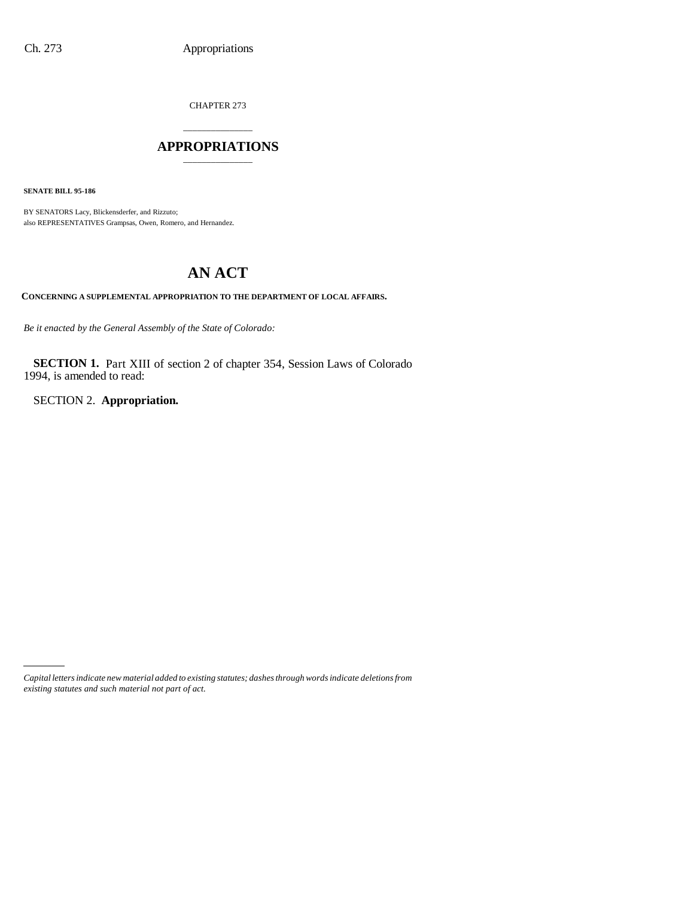CHAPTER 273

## \_\_\_\_\_\_\_\_\_\_\_\_\_\_\_ **APPROPRIATIONS** \_\_\_\_\_\_\_\_\_\_\_\_\_\_\_

**SENATE BILL 95-186**

BY SENATORS Lacy, Blickensderfer, and Rizzuto; also REPRESENTATIVES Grampsas, Owen, Romero, and Hernandez.

# **AN ACT**

**CONCERNING A SUPPLEMENTAL APPROPRIATION TO THE DEPARTMENT OF LOCAL AFFAIRS.**

*Be it enacted by the General Assembly of the State of Colorado:*

**SECTION 1.** Part XIII of section 2 of chapter 354, Session Laws of Colorado 1994, is amended to read:

SECTION 2. **Appropriation.**

*Capital letters indicate new material added to existing statutes; dashes through words indicate deletions from existing statutes and such material not part of act.*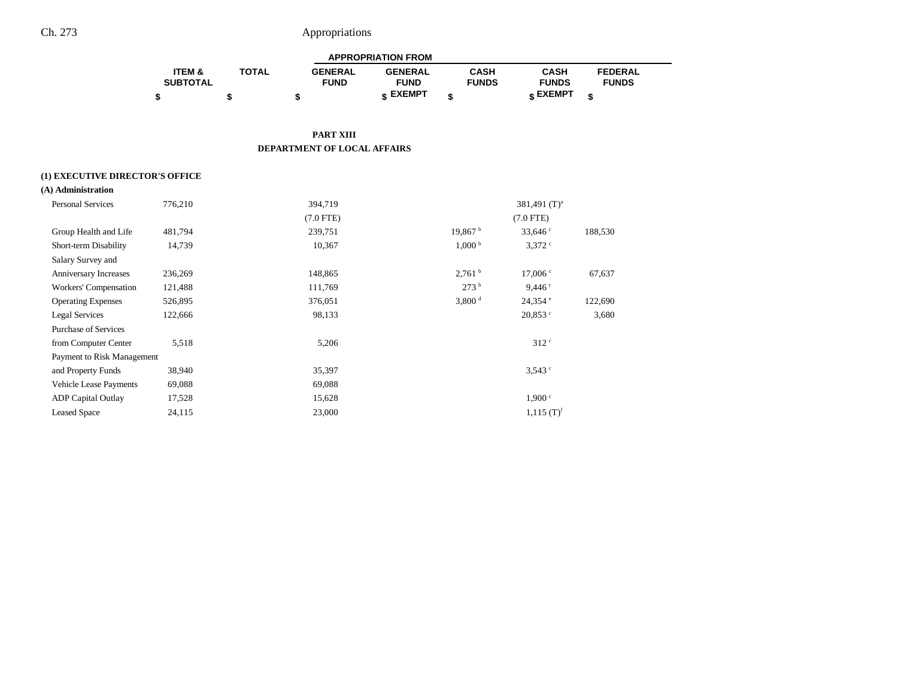|                   |              |                | <b>APPROPRIATION FROM</b> |              |              |                |  |
|-------------------|--------------|----------------|---------------------------|--------------|--------------|----------------|--|
| <b>ITEM &amp;</b> | <b>TOTAL</b> | <b>GENERAL</b> | <b>GENERAL</b>            | CASH         | CASH         | <b>FEDERAL</b> |  |
| <b>SUBTOTAL</b>   |              | <b>FUND</b>    | <b>FUND</b>               | <b>FUNDS</b> | <b>FUNDS</b> | <b>FUNDS</b>   |  |
|                   |              |                | <b>« EXEMPT</b>           |              | e EXEMPT     |                |  |

**PART XIII DEPARTMENT OF LOCAL AFFAIRS**

#### **(1) EXECUTIVE DIRECTOR'S OFFICE**

| (A) Administration            |         |                |                     |                          |         |
|-------------------------------|---------|----------------|---------------------|--------------------------|---------|
| <b>Personal Services</b>      | 776,210 | 394,719        |                     | 381,491 $(T)^a$          |         |
|                               |         | $(7.0$ FTE $)$ |                     | $(7.0$ FTE)              |         |
| Group Health and Life         | 481,794 | 239,751        | 19,867 <sup>b</sup> | 33,646 $\degree$         | 188,530 |
| Short-term Disability         | 14,739  | 10,367         | 1,000 <sup>b</sup>  | $3,372$ °                |         |
| Salary Survey and             |         |                |                     |                          |         |
| Anniversary Increases         | 236,269 | 148,865        | 2,761 <sup>b</sup>  | 17,006 °                 | 67,637  |
| Workers' Compensation         | 121,488 | 111,769        | 273 <sup>b</sup>    | 9,446°                   |         |
| <b>Operating Expenses</b>     | 526,895 | 376,051        | 3,800 <sup>d</sup>  | $24,354$ $^{\circ}$      | 122,690 |
| <b>Legal Services</b>         | 122,666 | 98,133         |                     | $20,853$ $\degree$       | 3,680   |
| <b>Purchase of Services</b>   |         |                |                     |                          |         |
| from Computer Center          | 5,518   | 5,206          |                     | 312 <sup>c</sup>         |         |
| Payment to Risk Management    |         |                |                     |                          |         |
| and Property Funds            | 38,940  | 35,397         |                     | 3,543°                   |         |
| <b>Vehicle Lease Payments</b> | 69,088  | 69,088         |                     |                          |         |
| <b>ADP</b> Capital Outlay     | 17,528  | 15,628         |                     | 1,900 °                  |         |
| <b>Leased Space</b>           | 24,115  | 23,000         |                     | $1,115$ (T) <sup>f</sup> |         |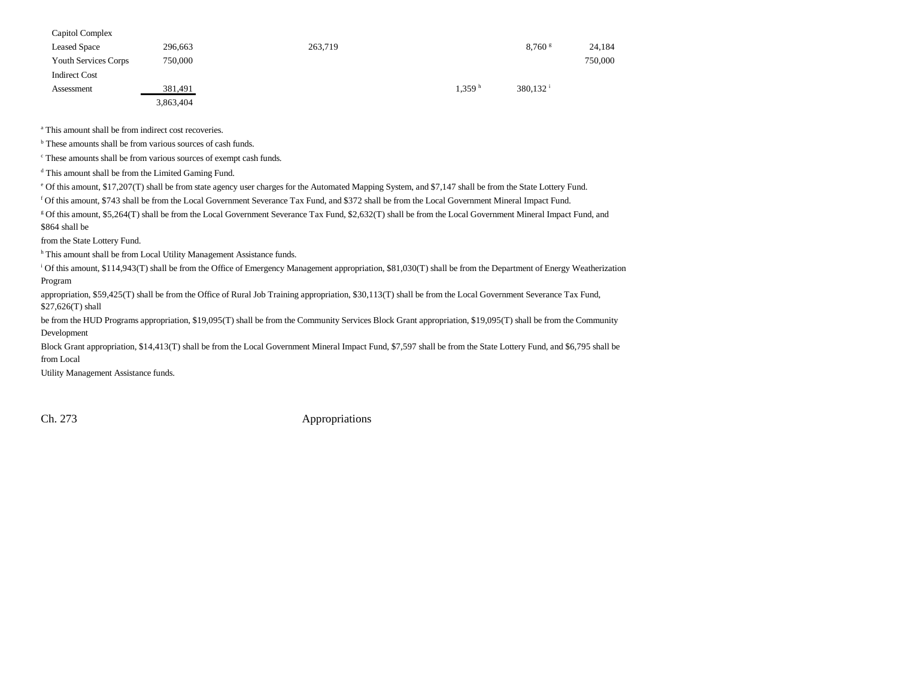| Capitol Complex      |           |         |                    |                        |         |
|----------------------|-----------|---------|--------------------|------------------------|---------|
| <b>Leased Space</b>  | 296,663   | 263,719 |                    | $8,760$ s              | 24,184  |
| Youth Services Corps | 750,000   |         |                    |                        | 750,000 |
| <b>Indirect Cost</b> |           |         |                    |                        |         |
| Assessment           | 381,491   |         | 1.359 <sup>h</sup> | $380.132$ <sup>i</sup> |         |
|                      | 3,863,404 |         |                    |                        |         |

<sup>a</sup> This amount shall be from indirect cost recoveries.

<sup>b</sup> These amounts shall be from various sources of cash funds.

c These amounts shall be from various sources of exempt cash funds.

d This amount shall be from the Limited Gaming Fund.

e Of this amount, \$17,207(T) shall be from state agency user charges for the Automated Mapping System, and \$7,147 shall be from the State Lottery Fund.

f Of this amount, \$743 shall be from the Local Government Severance Tax Fund, and \$372 shall be from the Local Government Mineral Impact Fund.

g Of this amount, \$5,264(T) shall be from the Local Government Severance Tax Fund, \$2,632(T) shall be from the Local Government Mineral Impact Fund, and \$864 shall be

from the State Lottery Fund.

h This amount shall be from Local Utility Management Assistance funds.

<sup>i</sup> Of this amount, \$114,943(T) shall be from the Office of Emergency Management appropriation, \$81,030(T) shall be from the Department of Energy Weatherization Program

appropriation, \$59,425(T) shall be from the Office of Rural Job Training appropriation, \$30,113(T) shall be from the Local Government Severance Tax Fund, \$27,626(T) shall

be from the HUD Programs appropriation, \$19,095(T) shall be from the Community Services Block Grant appropriation, \$19,095(T) shall be from the Community Development

Block Grant appropriation, \$14,413(T) shall be from the Local Government Mineral Impact Fund, \$7,597 shall be from the State Lottery Fund, and \$6,795 shall be from Local

Utility Management Assistance funds.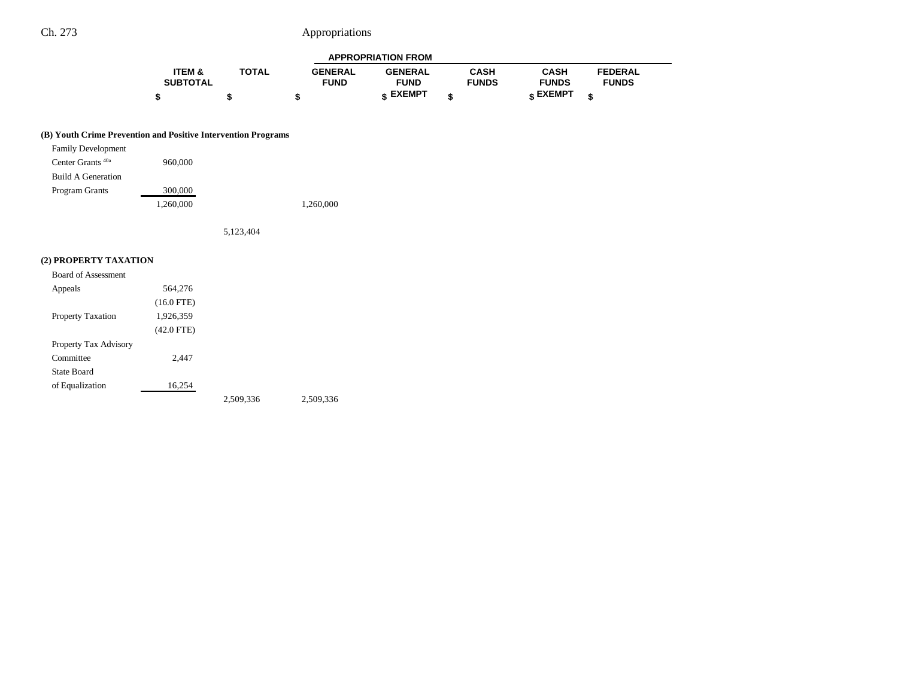|                   |              |                | <b>APPROPRIATION FROM</b> |              |              |                |
|-------------------|--------------|----------------|---------------------------|--------------|--------------|----------------|
| <b>ITEM &amp;</b> | <b>TOTAL</b> | <b>GENERAL</b> | <b>GENERAL</b>            | CASH         | CASH         | <b>FEDERAL</b> |
| <b>SUBTOTAL</b>   |              | <b>FUND</b>    | <b>FUND</b>               | <b>FUNDS</b> | <b>FUNDS</b> | <b>FUNDS</b>   |
|                   |              |                | <b>« EXEMPT</b>           |              | e EXEMPT     |                |

#### **(B) Youth Crime Prevention and Positive Intervention Programs**

| <b>Family Development</b>    |           |           |
|------------------------------|-----------|-----------|
| Center Grants <sup>40a</sup> | 960,000   |           |
| <b>Build A Generation</b>    |           |           |
| Program Grants               | 300,000   |           |
|                              | 1,260,000 | 1,260,000 |

5,123,404

### **(2) PROPERTY TAXATION**

| Board of Assessment      |              |           |           |
|--------------------------|--------------|-----------|-----------|
| Appeals                  | 564,276      |           |           |
|                          | $(16.0$ FTE) |           |           |
| <b>Property Taxation</b> | 1,926,359    |           |           |
|                          | $(42.0$ FTE) |           |           |
| Property Tax Advisory    |              |           |           |
| Committee                | 2,447        |           |           |
| State Board              |              |           |           |
| of Equalization          | 16,254       |           |           |
|                          |              | 2,509,336 | 2.509.336 |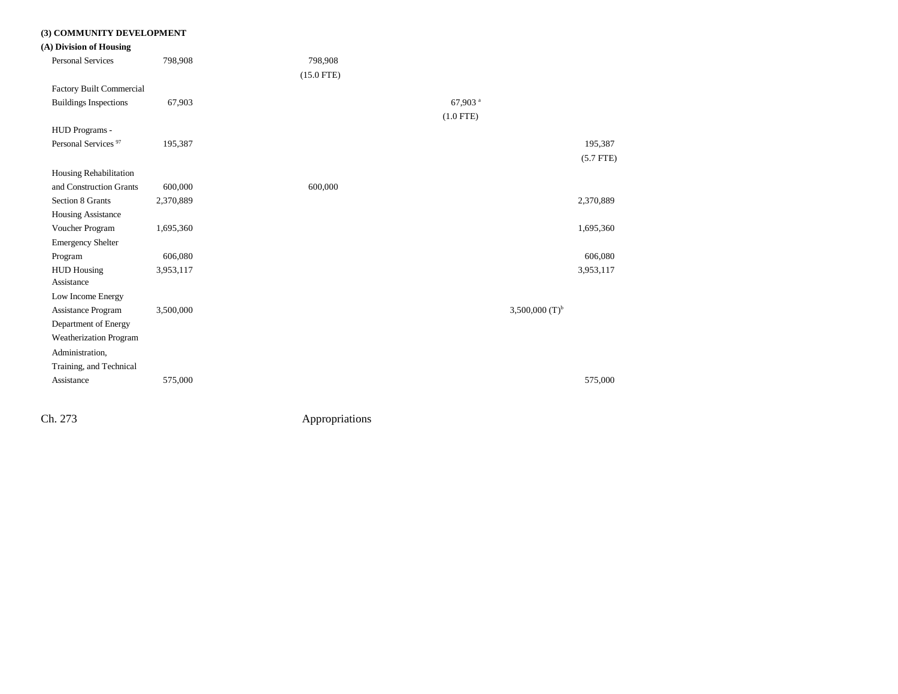#### **(3) COMMUNITY DEVELOPMENT**

**(A) Division of Housing**

| <b>Personal Services</b>        | 798,908   | 798,908      |                       |                     |             |
|---------------------------------|-----------|--------------|-----------------------|---------------------|-------------|
|                                 |           | $(15.0$ FTE) |                       |                     |             |
| Factory Built Commercial        |           |              |                       |                     |             |
| <b>Buildings Inspections</b>    | 67,903    |              | $67,903$ <sup>a</sup> |                     |             |
|                                 |           |              | $(1.0$ FTE)           |                     |             |
| HUD Programs -                  |           |              |                       |                     |             |
| Personal Services <sup>97</sup> | 195,387   |              |                       |                     | 195,387     |
|                                 |           |              |                       |                     | $(5.7$ FTE) |
| Housing Rehabilitation          |           |              |                       |                     |             |
| and Construction Grants         | 600,000   | 600,000      |                       |                     |             |
| Section 8 Grants                | 2,370,889 |              |                       |                     | 2,370,889   |
| Housing Assistance              |           |              |                       |                     |             |
| Voucher Program                 | 1,695,360 |              |                       |                     | 1,695,360   |
| <b>Emergency Shelter</b>        |           |              |                       |                     |             |
| Program                         | 606,080   |              |                       |                     | 606,080     |
| <b>HUD Housing</b>              | 3,953,117 |              |                       |                     | 3,953,117   |
| Assistance                      |           |              |                       |                     |             |
| Low Income Energy               |           |              |                       |                     |             |
| Assistance Program              | 3,500,000 |              |                       | 3,500,000 $(T)^{b}$ |             |
| Department of Energy            |           |              |                       |                     |             |
| Weatherization Program          |           |              |                       |                     |             |
| Administration,                 |           |              |                       |                     |             |
| Training, and Technical         |           |              |                       |                     |             |
| Assistance                      | 575,000   |              |                       |                     | 575,000     |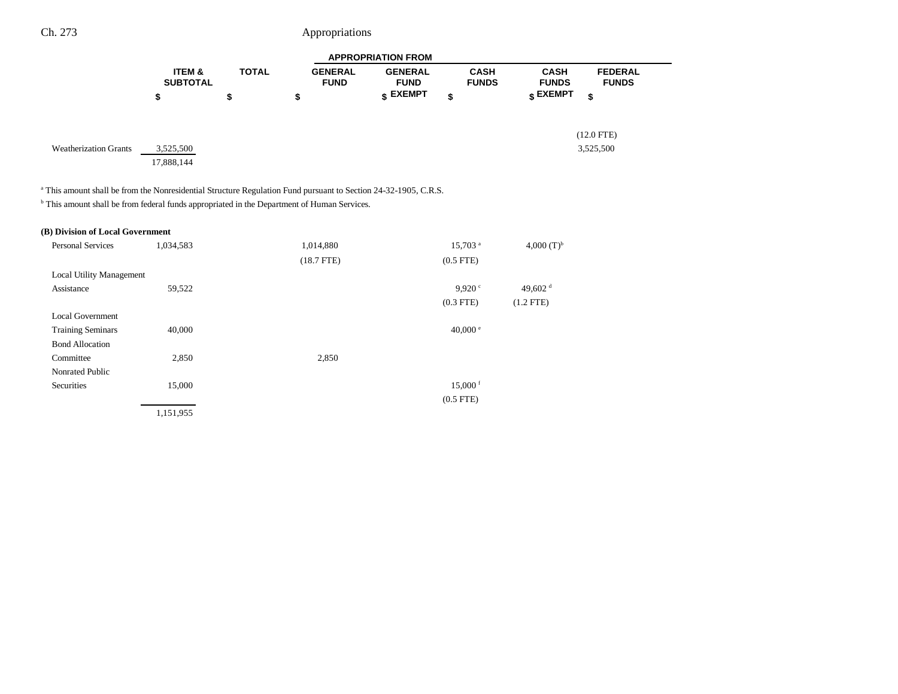|                                                                                                                                                                                                                                      |                                      |              |                               | <b>APPROPRIATION FROM</b>     |                             |                             |                                |
|--------------------------------------------------------------------------------------------------------------------------------------------------------------------------------------------------------------------------------------|--------------------------------------|--------------|-------------------------------|-------------------------------|-----------------------------|-----------------------------|--------------------------------|
|                                                                                                                                                                                                                                      | <b>ITEM &amp;</b><br><b>SUBTOTAL</b> | <b>TOTAL</b> | <b>GENERAL</b><br><b>FUND</b> | <b>GENERAL</b><br><b>FUND</b> | <b>CASH</b><br><b>FUNDS</b> | <b>CASH</b><br><b>FUNDS</b> | <b>FEDERAL</b><br><b>FUNDS</b> |
|                                                                                                                                                                                                                                      | \$                                   | \$           | \$                            | \$ EXEMPT                     | \$                          | \$ EXEMPT                   | \$                             |
| <b>Weatherization Grants</b>                                                                                                                                                                                                         | 3,525,500<br>17,888,144              |              |                               |                               |                             |                             | $(12.0$ FTE)<br>3,525,500      |
| <sup>a</sup> This amount shall be from the Nonresidential Structure Regulation Fund pursuant to Section 24-32-1905, C.R.S.<br><sup>b</sup> This amount shall be from federal funds appropriated in the Department of Human Services. |                                      |              |                               |                               |                             |                             |                                |
|                                                                                                                                                                                                                                      |                                      |              |                               |                               |                             |                             |                                |
| (B) Division of Local Government                                                                                                                                                                                                     |                                      |              |                               |                               |                             |                             |                                |
| <b>Personal Services</b>                                                                                                                                                                                                             | 1,034,583                            |              | 1,014,880                     |                               | $15,703$ <sup>a</sup>       | 4,000 $(T)^{b}$             |                                |
|                                                                                                                                                                                                                                      |                                      |              | $(18.7$ FTE)                  |                               | $(0.5$ FTE)                 |                             |                                |
| <b>Local Utility Management</b>                                                                                                                                                                                                      |                                      |              |                               |                               |                             |                             |                                |
| Assistance                                                                                                                                                                                                                           | 59,522                               |              |                               |                               | 9.920 c                     | 49,602 $^{\rm d}$           |                                |
|                                                                                                                                                                                                                                      |                                      |              |                               |                               | $(0.3$ FTE)                 | $(1.2$ FTE)                 |                                |
| <b>Local Government</b>                                                                                                                                                                                                              |                                      |              |                               |                               |                             |                             |                                |
| <b>Training Seminars</b>                                                                                                                                                                                                             | 40,000                               |              |                               |                               | 40,000 $^{\circ}$           |                             |                                |
| <b>Bond Allocation</b>                                                                                                                                                                                                               |                                      |              |                               |                               |                             |                             |                                |
| Committee                                                                                                                                                                                                                            | 2,850                                |              | 2,850                         |                               |                             |                             |                                |
| Nonrated Public                                                                                                                                                                                                                      |                                      |              |                               |                               |                             |                             |                                |
| Securities                                                                                                                                                                                                                           | 15,000                               |              |                               |                               | $15,000$ <sup>f</sup>       |                             |                                |
|                                                                                                                                                                                                                                      |                                      |              |                               |                               | $(0.5$ FTE)                 |                             |                                |

1,151,955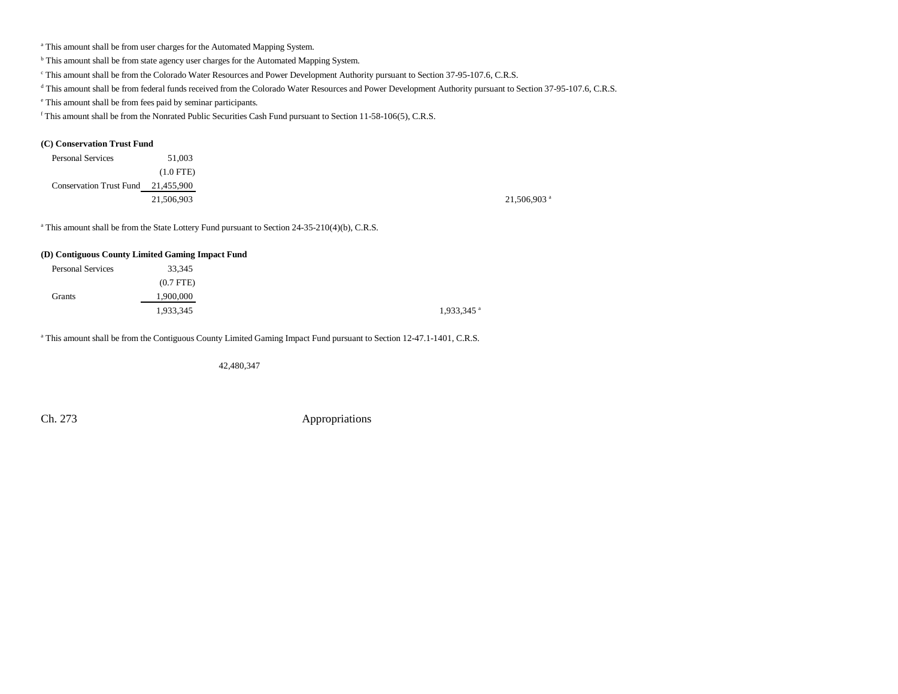<sup>a</sup> This amount shall be from user charges for the Automated Mapping System.

**b** This amount shall be from state agency user charges for the Automated Mapping System.

c This amount shall be from the Colorado Water Resources and Power Development Authority pursuant to Section 37-95-107.6, C.R.S.

<sup>d</sup> This amount shall be from federal funds received from the Colorado Water Resources and Power Development Authority pursuant to Section 37-95-107.6, C.R.S.

e This amount shall be from fees paid by seminar participants.

f This amount shall be from the Nonrated Public Securities Cash Fund pursuant to Section 11-58-106(5), C.R.S.

#### **(C) Conservation Trust Fund**

| <b>Personal Services</b>           | 51,003     |                           |
|------------------------------------|------------|---------------------------|
|                                    | (1.0 FTE)  |                           |
| Conservation Trust Fund 21,455,900 |            |                           |
|                                    | 21,506,903 | $21,506,903$ <sup>a</sup> |

<sup>a</sup> This amount shall be from the State Lottery Fund pursuant to Section 24-35-210(4)(b), C.R.S.

#### **(D) Contiguous County Limited Gaming Impact Fund**

| <b>Personal Services</b> | 33,345      |
|--------------------------|-------------|
|                          | $(0.7$ FTE) |
| Grants                   | 1,900,000   |
|                          | 1,933,345   |

<sup>a</sup> This amount shall be from the Contiguous County Limited Gaming Impact Fund pursuant to Section 12-47.1-1401, C.R.S.

42,480,347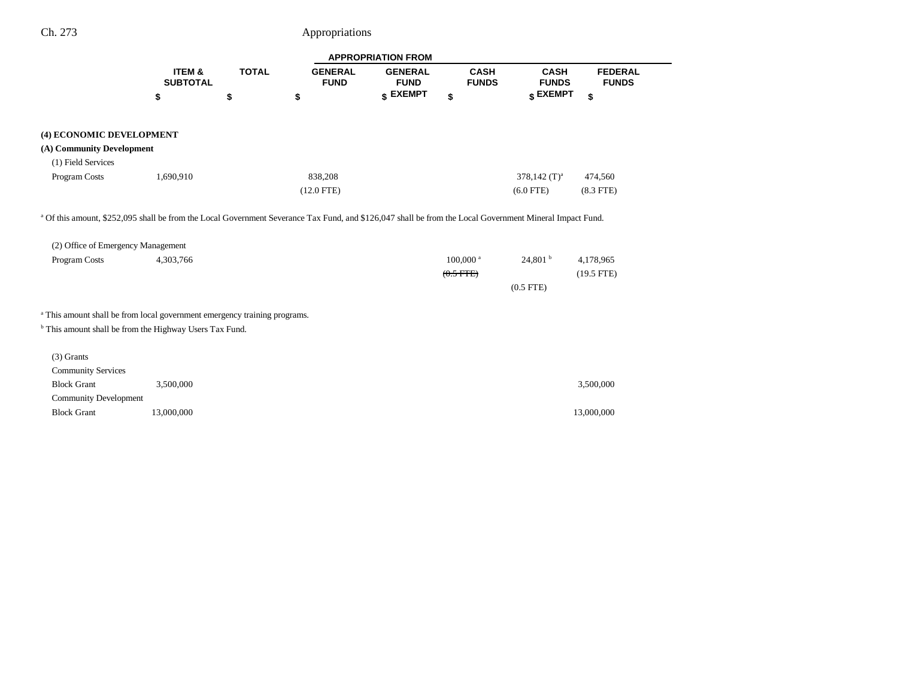٠

|                                                                                      |                                      |              |                               | <b>APPROPRIATION FROM</b>     |                                       |                                    |                                |
|--------------------------------------------------------------------------------------|--------------------------------------|--------------|-------------------------------|-------------------------------|---------------------------------------|------------------------------------|--------------------------------|
|                                                                                      | <b>ITEM &amp;</b><br><b>SUBTOTAL</b> | <b>TOTAL</b> | <b>GENERAL</b><br><b>FUND</b> | <b>GENERAL</b><br><b>FUND</b> | <b>CASH</b><br><b>FUNDS</b>           | <b>CASH</b><br><b>FUNDS</b>        | <b>FEDERAL</b><br><b>FUNDS</b> |
|                                                                                      | \$                                   | \$           | \$                            | \$ EXEMPT                     | \$                                    | \$ EXEMPT                          | \$                             |
| (4) ECONOMIC DEVELOPMENT                                                             |                                      |              |                               |                               |                                       |                                    |                                |
| (A) Community Development                                                            |                                      |              |                               |                               |                                       |                                    |                                |
| (1) Field Services                                                                   |                                      |              |                               |                               |                                       |                                    |                                |
| Program Costs                                                                        | 1,690,910                            |              | 838,208                       |                               |                                       | $378,142$ (T) <sup>a</sup>         | 474,560                        |
|                                                                                      |                                      |              | $(12.0$ FTE)                  |                               |                                       | $(6.0$ FTE)                        | $(8.3$ FTE)                    |
| (2) Office of Emergency Management<br>Program Costs                                  | 4,303,766                            |              |                               |                               | $100,000$ <sup>a</sup><br>$(0.5$ FTE) | 24,801 <sup>b</sup><br>$(0.5$ FTE) | 4,178,965<br>$(19.5$ FTE)      |
| <sup>a</sup> This amount shall be from local government emergency training programs. |                                      |              |                               |                               |                                       |                                    |                                |
| <sup>b</sup> This amount shall be from the Highway Users Tax Fund.                   |                                      |              |                               |                               |                                       |                                    |                                |
| $(3)$ Grants                                                                         |                                      |              |                               |                               |                                       |                                    |                                |
| <b>Community Services</b>                                                            |                                      |              |                               |                               |                                       |                                    |                                |
| <b>Block Grant</b>                                                                   | 3,500,000                            |              |                               |                               |                                       |                                    | 3,500,000                      |
| <b>Community Development</b>                                                         |                                      |              |                               |                               |                                       |                                    |                                |
| <b>Block Grant</b>                                                                   | 13,000,000                           |              |                               |                               |                                       |                                    | 13,000,000                     |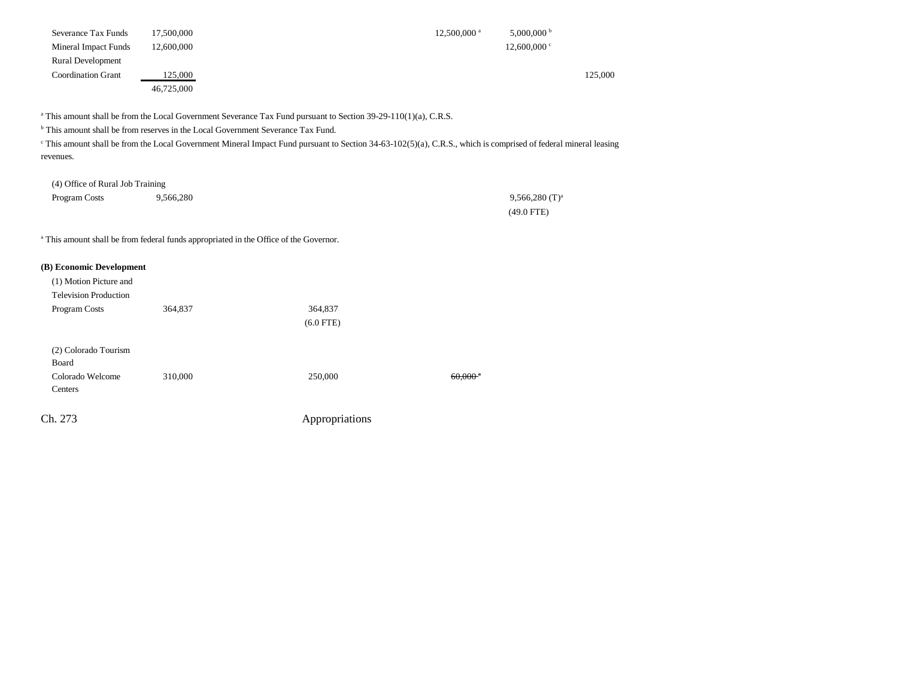| 17.500,000<br>Severance Tax Funds    | $12.500.000$ <sup>a</sup> | $5,000,000$ b  |
|--------------------------------------|---------------------------|----------------|
| 12,600,000<br>Mineral Impact Funds   |                           | $12,600,000$ c |
| <b>Rural Development</b>             |                           |                |
| 125,000<br><b>Coordination Grant</b> |                           | 125,000        |
| 46,725,000                           |                           |                |

<sup>a</sup> This amount shall be from the Local Government Severance Tax Fund pursuant to Section 39-29-110(1)(a), C.R.S.

<sup>b</sup> This amount shall be from reserves in the Local Government Severance Tax Fund.

<sup>c</sup> This amount shall be from the Local Government Mineral Impact Fund pursuant to Section 34-63-102(5)(a), C.R.S., which is comprised of federal mineral leasing revenues.

| (4) Office of Rural Job Training |           |                              |
|----------------------------------|-----------|------------------------------|
| Program Costs                    | 9,566,280 | $9,566,280$ (T) <sup>a</sup> |
|                                  |           | $(49.0$ FTE)                 |

<sup>a</sup> This amount shall be from federal funds appropriated in the Office of the Governor.

| (B) Economic Development<br>(1) Motion Picture and |         |                |                       |
|----------------------------------------------------|---------|----------------|-----------------------|
| <b>Television Production</b>                       |         |                |                       |
| Program Costs                                      | 364,837 | 364,837        |                       |
|                                                    |         | $(6.0$ FTE)    |                       |
| (2) Colorado Tourism<br>Board                      |         |                |                       |
| Colorado Welcome<br>Centers                        | 310,000 | 250,000        | $60,000$ <sup>a</sup> |
| Ch. 273                                            |         | Appropriations |                       |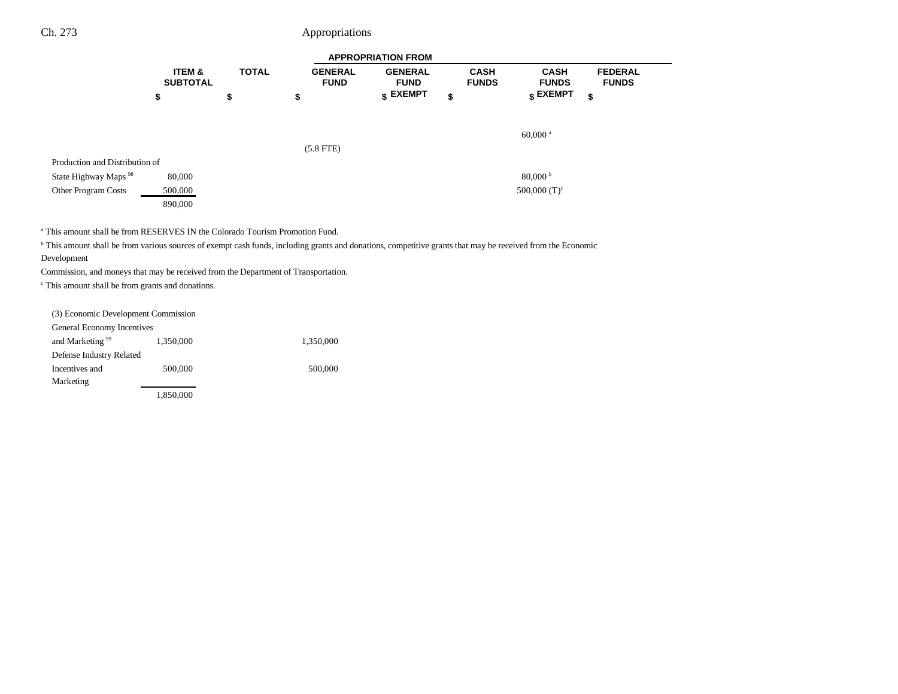|                                  | <b>APPROPRIATION FROM</b> |              |                               |                                  |                             |                             |                                |  |
|----------------------------------|---------------------------|--------------|-------------------------------|----------------------------------|-----------------------------|-----------------------------|--------------------------------|--|
|                                  | ITEM &<br><b>SUBTOTAL</b> | <b>TOTAL</b> | <b>GENERAL</b><br><b>FUND</b> | <b>GENERAL</b><br><b>FUND</b>    | <b>CASH</b><br><b>FUNDS</b> | <b>CASH</b><br><b>FUNDS</b> | <b>FEDERAL</b><br><b>FUNDS</b> |  |
|                                  | \$                        | \$           | \$                            | $\boldsymbol{\mathsf{s}}$ EXEMPT | \$                          | $_{\$}$ EXEMPT<br>\$        |                                |  |
|                                  |                           |              |                               |                                  |                             |                             |                                |  |
|                                  |                           |              |                               |                                  |                             | $60,000$ <sup>a</sup>       |                                |  |
|                                  |                           |              | $(5.8$ FTE)                   |                                  |                             |                             |                                |  |
| Production and Distribution of   |                           |              |                               |                                  |                             |                             |                                |  |
| State Highway Maps <sup>98</sup> | 80,000                    |              |                               |                                  |                             | 80,000 <sup>b</sup>         |                                |  |
| Other Program Costs              | 500,000                   |              |                               |                                  |                             | 500,000 $(T)^c$             |                                |  |
|                                  | 890,000                   |              |                               |                                  |                             |                             |                                |  |

a This amount shall be from RESERVES IN the Colorado Tourism Promotion Fund.

<sup>b</sup> This amount shall be from various sources of exempt cash funds, including grants and donations, competitive grants that may be received from the Economic Development

Commission, and moneys that may be received from the Department of Transportation.

c This amount shall be from grants and donations.

| (3) Economic Development Commission |           |           |
|-------------------------------------|-----------|-----------|
| General Economy Incentives          |           |           |
| and Marketing <sup>99</sup>         | 1,350,000 | 1,350,000 |
| Defense Industry Related            |           |           |
| Incentives and                      | 500,000   | 500,000   |
| Marketing                           |           |           |
|                                     | 1,850,000 |           |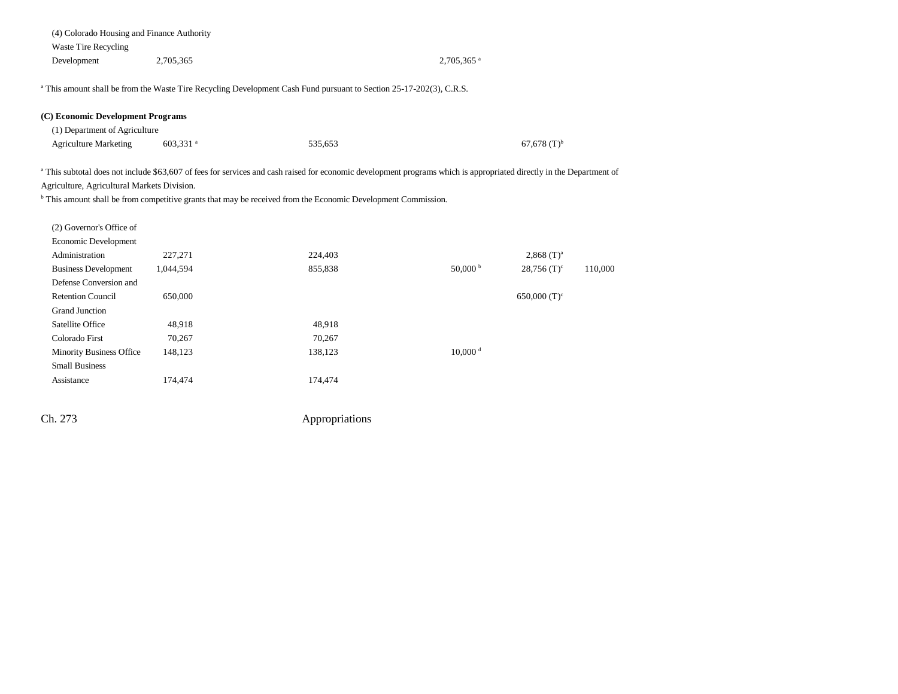| (4) Colorado Housing and Finance Authority  |                      |                                                                                                                                                                                 |                        |                            |         |
|---------------------------------------------|----------------------|---------------------------------------------------------------------------------------------------------------------------------------------------------------------------------|------------------------|----------------------------|---------|
| <b>Waste Tire Recycling</b>                 |                      |                                                                                                                                                                                 |                        |                            |         |
| Development                                 | 2,705,365            |                                                                                                                                                                                 | 2,705,365 <sup>a</sup> |                            |         |
|                                             |                      | <sup>a</sup> This amount shall be from the Waste Tire Recycling Development Cash Fund pursuant to Section 25-17-202(3), C.R.S.                                                  |                        |                            |         |
| (C) Economic Development Programs           |                      |                                                                                                                                                                                 |                        |                            |         |
| (1) Department of Agriculture               |                      |                                                                                                                                                                                 |                        |                            |         |
| <b>Agriculture Marketing</b>                | 603,331 <sup>a</sup> | 535,653                                                                                                                                                                         |                        | $67,678$ (T) <sup>b</sup>  |         |
|                                             |                      | <sup>a</sup> This subtotal does not include \$63,607 of fees for services and cash raised for economic development programs which is appropriated directly in the Department of |                        |                            |         |
| Agriculture, Agricultural Markets Division. |                      |                                                                                                                                                                                 |                        |                            |         |
|                                             |                      | <sup>b</sup> This amount shall be from competitive grants that may be received from the Economic Development Commission.                                                        |                        |                            |         |
| (2) Governor's Office of                    |                      |                                                                                                                                                                                 |                        |                            |         |
| Economic Development                        |                      |                                                                                                                                                                                 |                        |                            |         |
| Administration                              | 227,271              | 224,403                                                                                                                                                                         |                        | $2,868$ (T) <sup>a</sup>   |         |
| <b>Business Development</b>                 | 1,044,594            | 855,838                                                                                                                                                                         | $50,000$ b             | $28,756$ (T) <sup>c</sup>  | 110,000 |
| Defense Conversion and                      |                      |                                                                                                                                                                                 |                        |                            |         |
| <b>Retention Council</b>                    | 650,000              |                                                                                                                                                                                 |                        | $650,000$ (T) <sup>c</sup> |         |
| <b>Grand Junction</b>                       |                      |                                                                                                                                                                                 |                        |                            |         |
| Satellite Office                            | 48,918               | 48,918                                                                                                                                                                          |                        |                            |         |
| Colorado First                              | 70,267               | 70,267                                                                                                                                                                          |                        |                            |         |
| <b>Minority Business Office</b>             | 148,123              | 138,123                                                                                                                                                                         | $10,000$ <sup>d</sup>  |                            |         |
| <b>Small Business</b>                       |                      |                                                                                                                                                                                 |                        |                            |         |
| Assistance                                  | 174,474              | 174,474                                                                                                                                                                         |                        |                            |         |
|                                             |                      |                                                                                                                                                                                 |                        |                            |         |
| Ch. 273                                     |                      | Appropriations                                                                                                                                                                  |                        |                            |         |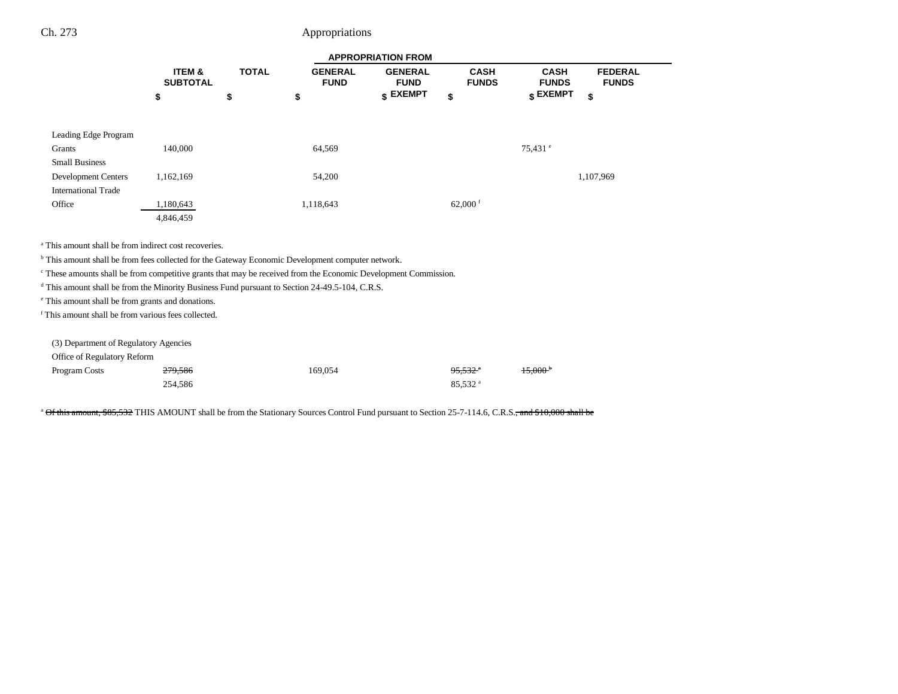|                                                                                                                            | <b>APPROPRIATION FROM</b> |              |                               |                               |                             |                             |                                |  |
|----------------------------------------------------------------------------------------------------------------------------|---------------------------|--------------|-------------------------------|-------------------------------|-----------------------------|-----------------------------|--------------------------------|--|
|                                                                                                                            | ITEM &<br><b>SUBTOTAL</b> | <b>TOTAL</b> | <b>GENERAL</b><br><b>FUND</b> | <b>GENERAL</b><br><b>FUND</b> | <b>CASH</b><br><b>FUNDS</b> | <b>CASH</b><br><b>FUNDS</b> | <b>FEDERAL</b><br><b>FUNDS</b> |  |
|                                                                                                                            | \$                        | \$           | \$                            | \$ EXEMPT                     | \$                          | \$ EXEMPT                   | \$                             |  |
| Leading Edge Program                                                                                                       |                           |              |                               |                               |                             |                             |                                |  |
| Grants                                                                                                                     | 140,000                   |              | 64,569                        |                               |                             | $75,431$ $^{\circ}$         |                                |  |
| <b>Small Business</b>                                                                                                      |                           |              |                               |                               |                             |                             |                                |  |
| <b>Development Centers</b>                                                                                                 | 1,162,169                 |              | 54,200                        |                               |                             |                             | 1,107,969                      |  |
| <b>International Trade</b>                                                                                                 |                           |              |                               |                               |                             |                             |                                |  |
| Office                                                                                                                     | 1,180,643                 |              | 1,118,643                     |                               | 62,000 $f$                  |                             |                                |  |
|                                                                                                                            | 4,846,459                 |              |                               |                               |                             |                             |                                |  |
| <sup>a</sup> This amount shall be from indirect cost recoveries.                                                           |                           |              |                               |                               |                             |                             |                                |  |
| <sup>b</sup> This amount shall be from fees collected for the Gateway Economic Development computer network.               |                           |              |                               |                               |                             |                             |                                |  |
| <sup>c</sup> These amounts shall be from competitive grants that may be received from the Economic Development Commission. |                           |              |                               |                               |                             |                             |                                |  |
| <sup>d</sup> This amount shall be from the Minority Business Fund pursuant to Section 24-49.5-104, C.R.S.                  |                           |              |                               |                               |                             |                             |                                |  |
| <sup>e</sup> This amount shall be from grants and donations.                                                               |                           |              |                               |                               |                             |                             |                                |  |
| <sup>f</sup> This amount shall be from various fees collected.                                                             |                           |              |                               |                               |                             |                             |                                |  |
| (3) Department of Regulatory Agencies                                                                                      |                           |              |                               |                               |                             |                             |                                |  |
| Office of Regulatory Reform                                                                                                |                           |              |                               |                               |                             |                             |                                |  |
| Program Costs                                                                                                              | 279,586                   |              | 169,054                       |                               | <del>95.532</del> *         |                             |                                |  |
|                                                                                                                            | 254,586                   |              |                               |                               | 85,532 <sup>a</sup>         |                             |                                |  |

<sup>a</sup> Of this amount, \$85,532 THIS AMOUNT shall be from the Stationary Sources Control Fund pursuant to Section 25-7-114.6, C.R.S., and \$10,000 shall be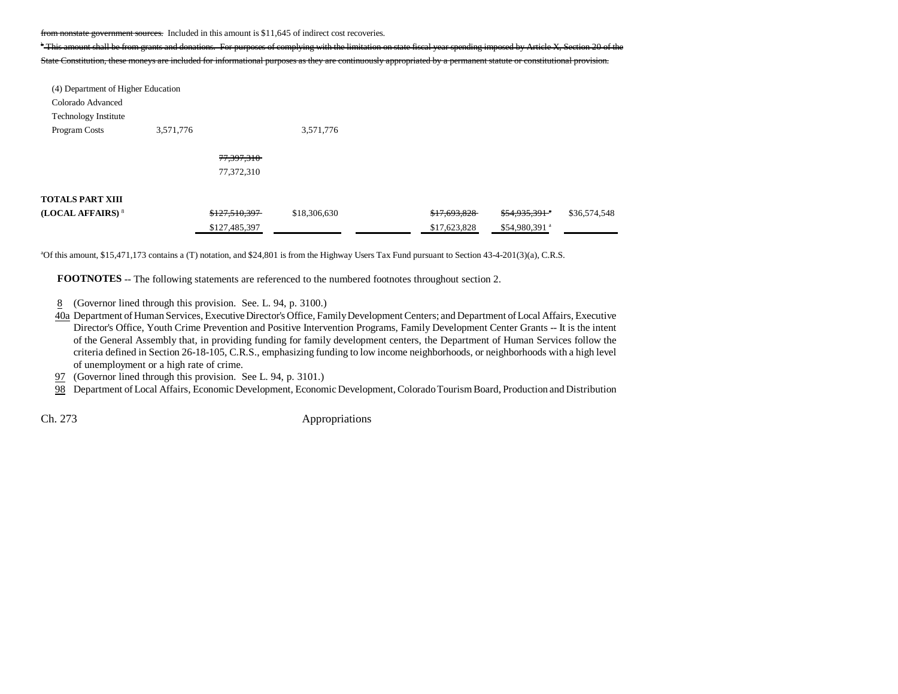from nonstate government sources. Included in this amount is \$11,645 of indirect cost recoveries.

<sup>b</sup> This amount shall be from grants and donations. For purposes of complying with the limitation on

State Constitution, these moneys are included for informational purposes as they are continuously appropriated by a permanent statute or constitutional provision.

| (4) Department of Higher Education |           |               |              |              |                           |              |
|------------------------------------|-----------|---------------|--------------|--------------|---------------------------|--------------|
| Colorado Advanced                  |           |               |              |              |                           |              |
| <b>Technology Institute</b>        |           |               |              |              |                           |              |
| Program Costs                      | 3,571,776 |               | 3,571,776    |              |                           |              |
|                                    |           |               |              |              |                           |              |
|                                    |           | 77,397,310    |              |              |                           |              |
|                                    |           | 77,372,310    |              |              |                           |              |
|                                    |           |               |              |              |                           |              |
| <b>TOTALS PART XIII</b>            |           |               |              |              |                           |              |
| (LOCAL AFFAIRS) <sup>8</sup>       |           | \$127,510,397 | \$18,306,630 | \$17,693,828 | $$54,935,391$ *           | \$36,574,548 |
|                                    |           | \$127,485,397 |              | \$17,623,828 | \$54,980,391 <sup>a</sup> |              |

<sup>a</sup>Of this amount, \$15,471,173 contains a (T) notation, and \$24,801 is from the Highway Users Tax Fund pursuant to Section 43-4-201(3)(a), C.R.S.

**FOOTNOTES** -- The following statements are referenced to the numbered footnotes throughout section 2.

- 8(Governor lined through this provision. See. L. 94, p. 3100.)
- 40a Department of Human Services, Executive Director's Office, Family Development Centers; and Department of Local Affairs, Executive Director's Office, Youth Crime Prevention and Positive Intervention Programs, Family Development Center Grants -- It is the intent of the General Assembly that, in providing funding for family development centers, the Department of Human Services follow the criteria defined in Section 26-18-105, C.R.S., emphasizing funding to low income neighborhoods, or neighborhoods with a high level of unemployment or a high rate of crime.
- 97 (Governor lined through this provision. See L. 94, p. 3101.)
- 98 Department of Local Affairs, Economic Development, Economic Development, Colorado Tourism Board, Production and Distribution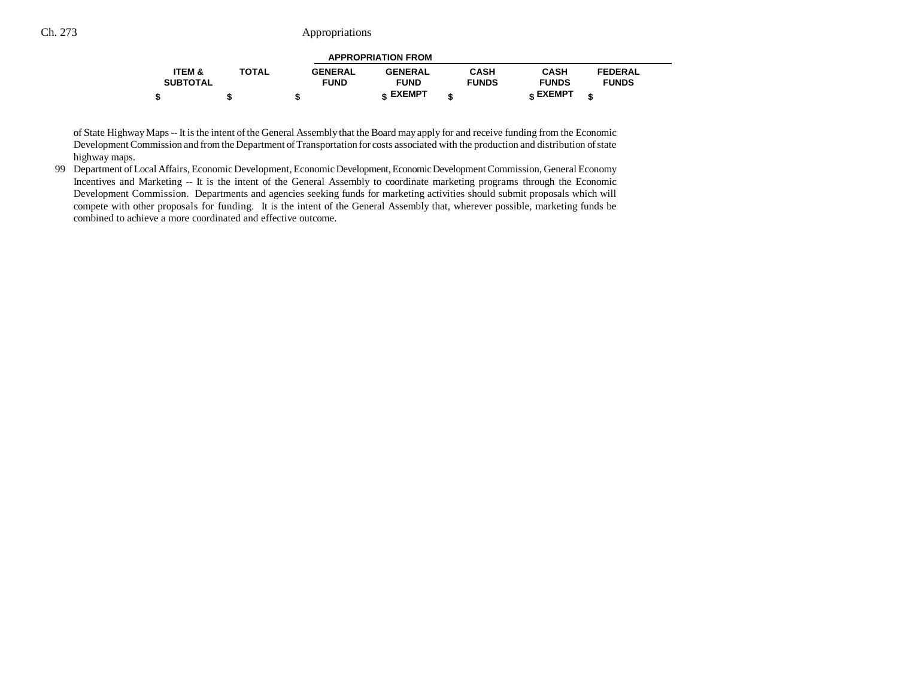| <b>APPROPRIATION FROM</b> |              |                |                 |              |                 |                |  |  |  |
|---------------------------|--------------|----------------|-----------------|--------------|-----------------|----------------|--|--|--|
| <b>ITEM &amp;</b>         | <b>TOTAL</b> | <b>GENERAL</b> | <b>GENERAL</b>  | <b>CASH</b>  | <b>CASH</b>     | <b>FEDERAL</b> |  |  |  |
| <b>SUBTOTAL</b>           |              | <b>FUND</b>    | <b>FUND</b>     | <b>FUNDS</b> | <b>FUNDS</b>    | <b>FUNDS</b>   |  |  |  |
|                           |              | ۰D             | <b>« EXEMPT</b> |              | <b>« EXEMPT</b> |                |  |  |  |

of State Highway Maps -- It is the intent of the General Assembly that the Board may apply for and receive funding from the Economic Development Commission and from the Department of Transportation for costs associated with the production and distribution of state highway maps.

99 Department of Local Affairs, Economic Development, Economic Development, Economic Development Commission, General Economy Incentives and Marketing -- It is the intent of the General Assembly to coordinate marketing programs through the Economic Development Commission. Departments and agencies seeking funds for marketing activities should submit proposals which will compete with other proposals for funding. It is the intent of the General Assembly that, wherever possible, marketing funds be combined to achieve a more coordinated and effective outcome.